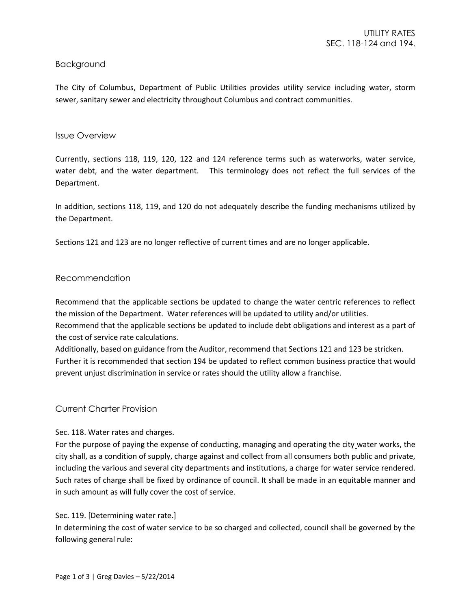# Background

The City of Columbus, Department of Public Utilities provides utility service including water, storm sewer, sanitary sewer and electricity throughout Columbus and contract communities.

## Issue Overview

Currently, sections 118, 119, 120, 122 and 124 reference terms such as waterworks, water service, water debt, and the water department. This terminology does not reflect the full services of the Department.

In addition, sections 118, 119, and 120 do not adequately describe the funding mechanisms utilized by the Department.

Sections 121 and 123 are no longer reflective of current times and are no longer applicable.

### Recommendation

Recommend that the applicable sections be updated to change the water centric references to reflect the mission of the Department. Water references will be updated to utility and/or utilities.

Recommend that the applicable sections be updated to include debt obligations and interest as a part of the cost of service rate calculations.

Additionally, based on guidance from the Auditor, recommend that Sections 121 and 123 be stricken. Further it is recommended that section 194 be updated to reflect common business practice that would prevent unjust discrimination in service or rates should the utility allow a franchise.

# Current Charter Provision

# Sec. 118. Water rates and charges.

For the purpose of paying the expense of conducting, managing and operating the city water works, the city shall, as a condition of supply, charge against and collect from all consumers both public and private, including the various and several city departments and institutions, a charge for water service rendered. Such rates of charge shall be fixed by ordinance of council. It shall be made in an equitable manner and in such amount as will fully cover the cost of service.

#### Sec. 119. [Determining water rate.]

In determining the cost of water service to be so charged and collected, council shall be governed by the following general rule: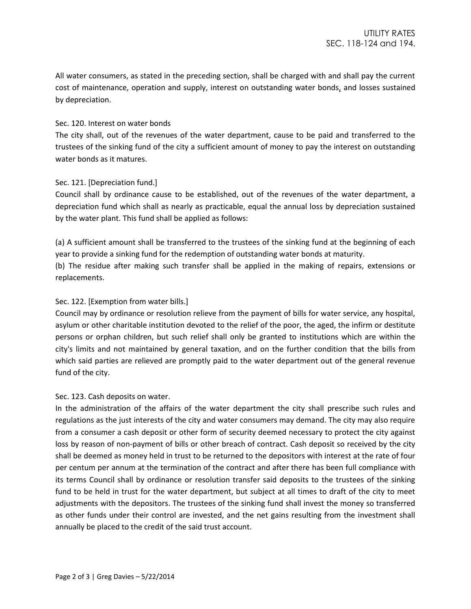All water consumers, as stated in the preceding section, shall be charged with and shall pay the current cost of maintenance, operation and supply, interest on outstanding water bonds, and losses sustained by depreciation.

## Sec. 120. Interest on water bonds

The city shall, out of the revenues of the water department, cause to be paid and transferred to the trustees of the sinking fund of the city a sufficient amount of money to pay the interest on outstanding water bonds as it matures.

### Sec. 121. [Depreciation fund.]

Council shall by ordinance cause to be established, out of the revenues of the water department, a depreciation fund which shall as nearly as practicable, equal the annual loss by depreciation sustained by the water plant. This fund shall be applied as follows:

(a) A sufficient amount shall be transferred to the trustees of the sinking fund at the beginning of each year to provide a sinking fund for the redemption of outstanding water bonds at maturity.

(b) The residue after making such transfer shall be applied in the making of repairs, extensions or replacements.

## Sec. 122. [Exemption from water bills.]

Council may by ordinance or resolution relieve from the payment of bills for water service, any hospital, asylum or other charitable institution devoted to the relief of the poor, the aged, the infirm or destitute persons or orphan children, but such relief shall only be granted to institutions which are within the city's limits and not maintained by general taxation, and on the further condition that the bills from which said parties are relieved are promptly paid to the water department out of the general revenue fund of the city.

#### Sec. 123. Cash deposits on water.

In the administration of the affairs of the water department the city shall prescribe such rules and regulations as the just interests of the city and water consumers may demand. The city may also require from a consumer a cash deposit or other form of security deemed necessary to protect the city against loss by reason of non-payment of bills or other breach of contract. Cash deposit so received by the city shall be deemed as money held in trust to be returned to the depositors with interest at the rate of four per centum per annum at the termination of the contract and after there has been full compliance with its terms Council shall by ordinance or resolution transfer said deposits to the trustees of the sinking fund to be held in trust for the water department, but subject at all times to draft of the city to meet adjustments with the depositors. The trustees of the sinking fund shall invest the money so transferred as other funds under their control are invested, and the net gains resulting from the investment shall annually be placed to the credit of the said trust account.